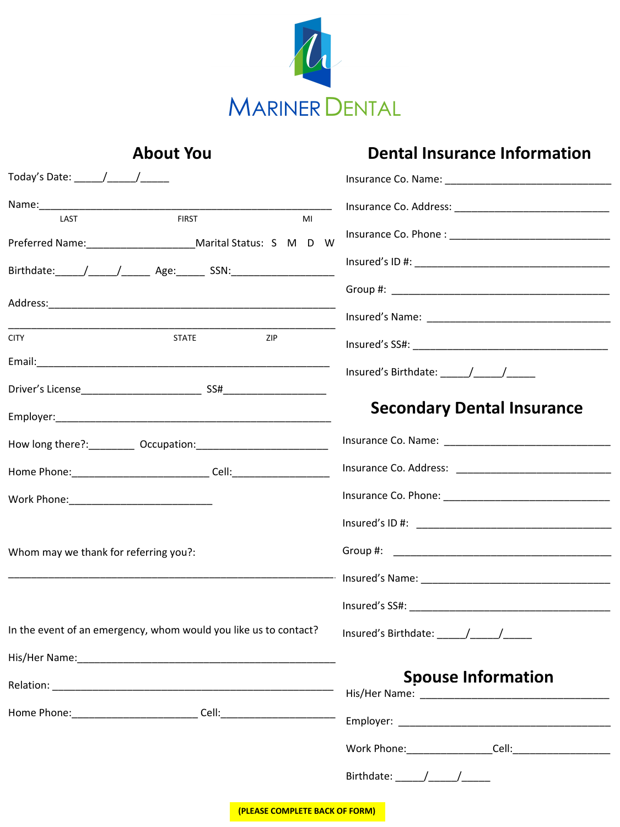

| <b>About You</b>                                                                 | <b>Dental Insurance Information</b> |  |
|----------------------------------------------------------------------------------|-------------------------------------|--|
|                                                                                  |                                     |  |
| <b>FIRST</b><br>LAST<br>MI                                                       |                                     |  |
| Preferred Name: Marital Status: S M D W<br>Birthdate: / / Age: SSN:              |                                     |  |
|                                                                                  |                                     |  |
| <b>CITY</b><br><b>STATE</b><br>ZIP                                               |                                     |  |
|                                                                                  |                                     |  |
|                                                                                  | <b>Secondary Dental Insurance</b>   |  |
|                                                                                  |                                     |  |
| Home Phone: ________________________________Cell: ______________________________ |                                     |  |
|                                                                                  |                                     |  |
|                                                                                  |                                     |  |
| Whom may we thank for referring you?:                                            |                                     |  |
|                                                                                  |                                     |  |
|                                                                                  |                                     |  |
| In the event of an emergency, whom would you like us to contact?                 |                                     |  |
| His/Her Name:                                                                    |                                     |  |
|                                                                                  | <b>Spouse Information</b>           |  |
| Home Phone: __________________________________Cell: ____________________________ |                                     |  |
|                                                                                  |                                     |  |
|                                                                                  |                                     |  |